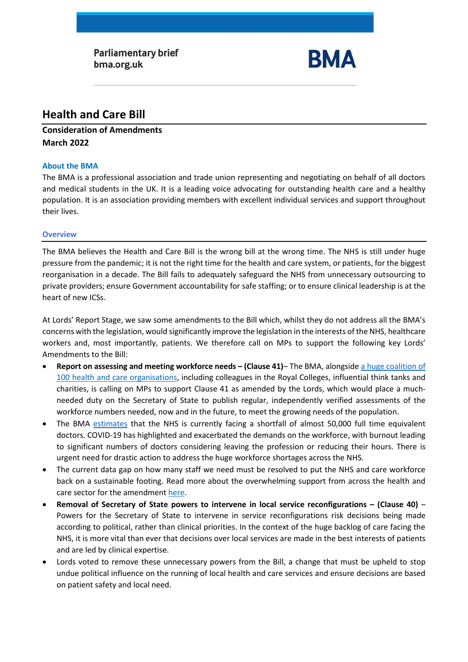

# **Health and Care Bill**

# **Consideration of Amendments March 2022**

# **About the BMA**

The BMA is a professional association and trade union representing and negotiating on behalf of all doctors and medical students in the UK. It is a leading voice advocating for outstanding health care and a healthy population. It is an association providing members with excellent individual services and support throughout their lives.

### **Overview**

The BMA believes the Health and Care Bill is the wrong bill at the wrong time. The NHS is still under huge pressure from the pandemic; it is not the right time for the health and care system, or patients, for the biggest reorganisation in a decade. The Bill fails to adequately safeguard the NHS from unnecessary outsourcing to private providers; ensure Government accountability for safe staffing; or to ensure clinical leadership is at the heart of new ICSs.

At Lords' Report Stage, we saw some amendments to the Bill which, whilst they do not address all the BMA's concerns with the legislation, would significantly improve the legislation in the interests of the NHS, healthcare workers and, most importantly, patients. We therefore call on MPs to support the following key Lords' Amendments to the Bill:

- **Report on assessing and meeting workforce needs – (Clause 41)** The BMA, alongside [a huge coalition of](https://www.rcplondon.ac.uk/guidelines-policy/strength-numbers-stronger-workforce-planning-health-and-care-bill)  [100 health and care organisations,](https://www.rcplondon.ac.uk/guidelines-policy/strength-numbers-stronger-workforce-planning-health-and-care-bill) including colleagues in the Royal Colleges, influential think tanks and charities, is calling on MPs to support Clause 41 as amended by the Lords, which would place a muchneeded duty on the Secretary of State to publish regular, independently verified assessments of the workforce numbers needed, now and in the future, to meet the growing needs of the population.
- The BMA [estimates](https://www.bma.org.uk/advice-and-support/nhs-delivery-and-workforce/workforce/medical-staffing-in-england-report) that the NHS is currently facing a shortfall of almost 50,000 full time equivalent doctors. COVID-19 has highlighted and exacerbated the demands on the workforce, with burnout leading to significant numbers of doctors considering leaving the profession or reducing their hours. There is urgent need for drastic action to address the huge workforce shortages across the NHS.
- The current data gap on how many staff we need must be resolved to put the NHS and care workforce back on a sustainable footing. Read more about the overwhelming support from across the health and care sector for the amendment [here.](https://www.rcplondon.ac.uk/guidelines-policy/strength-numbers-stronger-workforce-planning-health-and-care-bill)
- **Removal of Secretary of State powers to intervene in local service reconfigurations – (Clause 40)** Powers for the Secretary of State to intervene in service reconfigurations risk decisions being made according to political, rather than clinical priorities. In the context of the huge backlog of care facing the NHS, it is more vital than ever that decisions over local services are made in the best interests of patients and are led by clinical expertise.
- Lords voted to remove these unnecessary powers from the Bill, a change that must be upheld to stop undue political influence on the running of local health and care services and ensure decisions are based on patient safety and local need.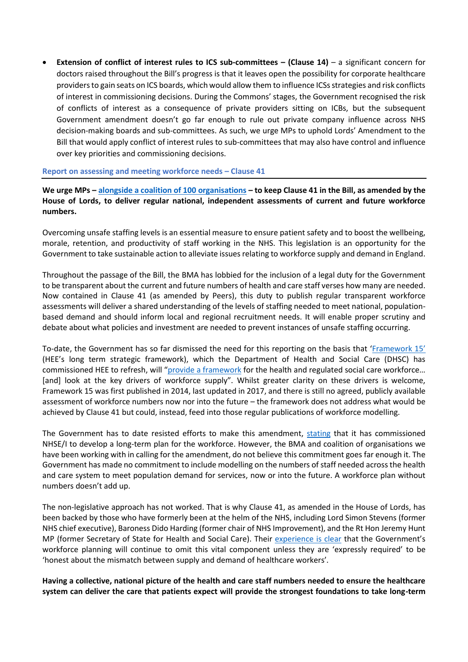• **Extension of conflict of interest rules to ICS sub-committees – (Clause 14)** – a significant concern for doctors raised throughout the Bill's progress is that it leaves open the possibility for corporate healthcare providers to gain seats on ICS boards, which would allow them to influence ICSs strategies and risk conflicts of interest in commissioning decisions. During the Commons' stages, the Government recognised the risk of conflicts of interest as a consequence of private providers sitting on ICBs, but the subsequent Government amendment doesn't go far enough to rule out private company influence across NHS decision-making boards and sub-committees. As such, we urge MPs to uphold Lords' Amendment to the Bill that would apply conflict of interest rules to sub-committees that may also have control and influence over key priorities and commissioning decisions.

#### **Report on assessing and meeting workforce needs – Clause 41**

**We urge MPs – [alongside a coalition of 100 organisations](https://www.rcplondon.ac.uk/guidelines-policy/strength-numbers-stronger-workforce-planning-health-and-care-bill) – to keep Clause 41 in the Bill, as amended by the House of Lords, to deliver regular national, independent assessments of current and future workforce numbers.**

Overcoming unsafe staffing levels is an essential measure to ensure patient safety and to boost the wellbeing, morale, retention, and productivity of staff working in the NHS. This legislation is an opportunity for the Government to take sustainable action to alleviate issues relating to workforce supply and demand in England.

Throughout the passage of the Bill, the BMA has lobbied for the inclusion of a legal duty for the Government to be transparent about the current and future numbers of health and care staff verses how many are needed. Now contained in Clause 41 (as amended by Peers), this duty to publish regular transparent workforce assessments will deliver a shared understanding of the levels of staffing needed to meet national, populationbased demand and should inform local and regional recruitment needs. It will enable proper scrutiny and debate about what policies and investment are needed to prevent instances of unsafe staffing occurring.

To-date, the Government has so far dismissed the need for this reporting on the basis that ['Framework 15'](https://www.hee.nhs.uk/framework-15) (HEE's long term strategic framework), which the Department of Health and Social Care (DHSC) has commissioned HEE to refresh, will "[provide a framework](https://hansard.parliament.uk/lords/2021-12-07/debates/B05FC5DC-E095-444F-83E3-BD40BF226078/HealthAndCareBill#contribution-15A3D12F-6F70-4AE4-A4DE-5B4D7FF3B9F9) for the health and regulated social care workforce… [and] look at the key drivers of workforce supply". Whilst greater clarity on these drivers is welcome, Framework 15 was first published in 2014, last updated in 2017, and there is still no agreed, publicly available assessment of workforce numbers now nor into the future – the framework does not address what would be achieved by Clause 41 but could, instead, feed into those regular publications of workforce modelling.

The Government has to date resisted efforts to make this amendment, [stating](https://hansard.parliament.uk/lords/2022-03-03/debates/E2FD0BB1-EE6A-4C9F-A8BD-99FFB987323F/HealthAndCareBill#contribution-C21B77A2-D96C-478E-A68A-54986695FA5B) that it has commissioned NHSE/I to develop a long-term plan for the workforce. However, the BMA and coalition of organisations we have been working with in calling for the amendment, do not believe this commitment goes far enough it. The Government has made no commitment to include modelling on the numbers of staff needed across the health and care system to meet population demand for services, now or into the future. A workforce plan without numbers doesn't add up.

The non-legislative approach has not worked. That is why Clause 41, as amended in the House of Lords, has been backed by those who have formerly been at the helm of the NHS, including Lord Simon Stevens (former NHS chief executive), Baroness Dido Harding (former chair of NHS Improvement), and the Rt Hon Jeremy Hunt MP (former Secretary of State for Health and Social Care). Their [experience is clear](https://hansard.parliament.uk/lords/2021-12-07/debates/B05FC5DC-E095-444F-83E3-BD40BF226078/HealthAndCareBill#contribution-DE82CD07-8E79-4EFC-8C5F-D7DEAA6B7325) that the Government's workforce planning will continue to omit this vital component unless they are 'expressly required' to be 'honest about the mismatch between supply and demand of healthcare workers'.

**Having a collective, national picture of the health and care staff numbers needed to ensure the healthcare system can deliver the care that patients expect will provide the strongest foundations to take long-term**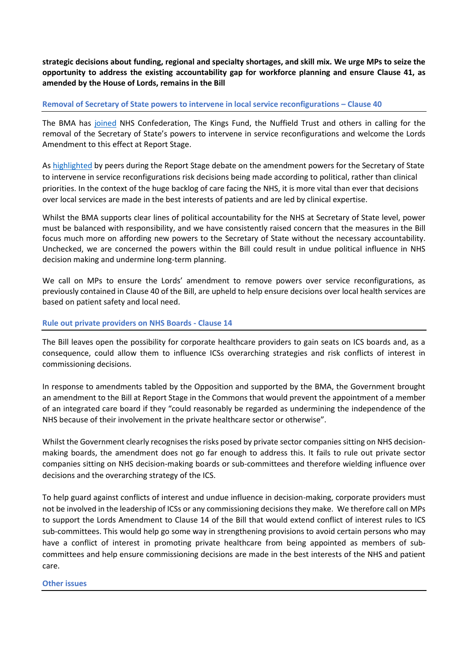**strategic decisions about funding, regional and specialty shortages, and skill mix. We urge MPs to seize the opportunity to address the existing accountability gap for workforce planning and ensure Clause 41, as amended by the House of Lords, remains in the Bill** 

#### **Removal of Secretary of State powers to intervene in local service reconfigurations – Clause 40**

The BMA has [joined](https://www.nhsconfed.org/publications/joint-letter-secretary-state-health-and-social-care) NHS Confederation, The Kings Fund, the Nuffield Trust and others in calling for the removal of the Secretary of State's powers to intervene in service reconfigurations and welcome the Lords Amendment to this effect at Report Stage.

As [highlighted](https://hansard.parliament.uk/lords/2022-03-03/debates/65D43AA3-168D-41AD-BB61-FE026E6FDCAB/HealthAndCareBill) by peers during the Report Stage debate on the amendment powers for the Secretary of State to intervene in service reconfigurations risk decisions being made according to political, rather than clinical priorities. In the context of the huge backlog of care facing the NHS, it is more vital than ever that decisions over local services are made in the best interests of patients and are led by clinical expertise.

Whilst the BMA supports clear lines of political accountability for the NHS at Secretary of State level, power must be balanced with responsibility, and we have consistently raised concern that the measures in the Bill focus much more on affording new powers to the Secretary of State without the necessary accountability. Unchecked, we are concerned the powers within the Bill could result in undue political influence in NHS decision making and undermine long-term planning.

We call on MPs to ensure the Lords' amendment to remove powers over service reconfigurations, as previously contained in Clause 40 of the Bill, are upheld to help ensure decisions over local health services are based on patient safety and local need.

#### **Rule out private providers on NHS Boards - Clause 14**

The Bill leaves open the possibility for corporate healthcare providers to gain seats on ICS boards and, as a consequence, could allow them to influence ICSs overarching strategies and risk conflicts of interest in commissioning decisions.

In response to amendments tabled by the Opposition and supported by the BMA, the Government brought an amendment to the Bill at Report Stage in the Commons that would prevent the appointment of a member of an integrated care board if they "could reasonably be regarded as undermining the independence of the NHS because of their involvement in the private healthcare sector or otherwise".

Whilst the Government clearly recognises the risks posed by private sector companies sitting on NHS decisionmaking boards, the amendment does not go far enough to address this. It fails to rule out private sector companies sitting on NHS decision-making boards or sub-committees and therefore wielding influence over decisions and the overarching strategy of the ICS.

To help guard against conflicts of interest and undue influence in decision-making, corporate providers must not be involved in the leadership of ICSs or any commissioning decisions they make. We therefore call on MPs to support the Lords Amendment to Clause 14 of the Bill that would extend conflict of interest rules to ICS sub-committees. This would help go some way in strengthening provisions to avoid certain persons who may have a conflict of interest in promoting private healthcare from being appointed as members of subcommittees and help ensure commissioning decisions are made in the best interests of the NHS and patient care.

#### **Other issues**